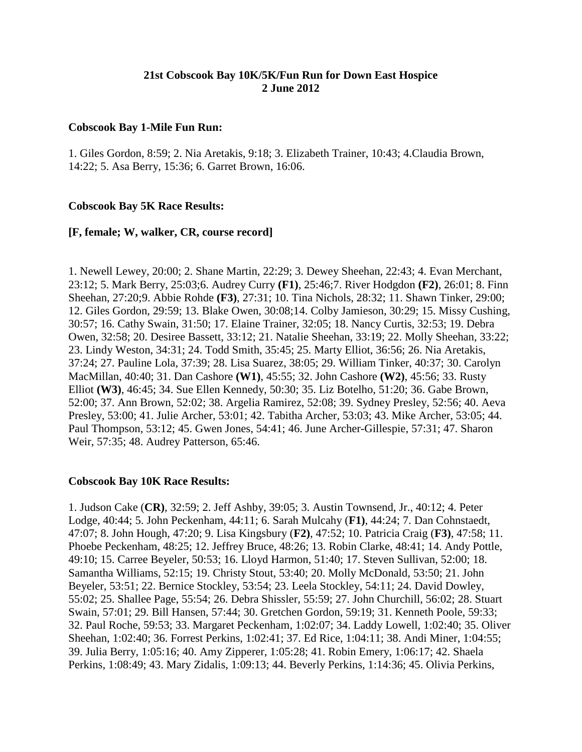# **21st Cobscook Bay 10K/5K/Fun Run for Down East Hospice 2 June 2012**

### **Cobscook Bay 1-Mile Fun Run:**

1. Giles Gordon, 8:59; 2. Nia Aretakis, 9:18; 3. Elizabeth Trainer, 10:43; 4.Claudia Brown, 14:22; 5. Asa Berry, 15:36; 6. Garret Brown, 16:06.

### **Cobscook Bay 5K Race Results:**

### **[F, female; W, walker, CR, course record]**

1. Newell Lewey, 20:00; 2. Shane Martin, 22:29; 3. Dewey Sheehan, 22:43; 4. Evan Merchant, 23:12; 5. Mark Berry, 25:03;6. Audrey Curry **(F1)**, 25:46;7. River Hodgdon **(F2)**, 26:01; 8. Finn Sheehan, 27:20;9. Abbie Rohde **(F3)**, 27:31; 10. Tina Nichols, 28:32; 11. Shawn Tinker, 29:00; 12. Giles Gordon, 29:59; 13. Blake Owen, 30:08;14. Colby Jamieson, 30:29; 15. Missy Cushing, 30:57; 16. Cathy Swain, 31:50; 17. Elaine Trainer, 32:05; 18. Nancy Curtis, 32:53; 19. Debra Owen, 32:58; 20. Desiree Bassett, 33:12; 21. Natalie Sheehan, 33:19; 22. Molly Sheehan, 33:22; 23. Lindy Weston, 34:31; 24. Todd Smith, 35:45; 25. Marty Elliot, 36:56; 26. Nia Aretakis, 37:24; 27. Pauline Lola, 37:39; 28. Lisa Suarez, 38:05; 29. William Tinker, 40:37; 30. Carolyn MacMillan, 40:40; 31. Dan Cashore **(W1)**, 45:55; 32. John Cashore **(W2)**, 45:56; 33. Rusty Elliot **(W3)**, 46:45; 34. Sue Ellen Kennedy, 50:30; 35. Liz Botelho, 51:20; 36. Gabe Brown, 52:00; 37. Ann Brown, 52:02; 38. Argelia Ramirez, 52:08; 39. Sydney Presley, 52:56; 40. Aeva Presley, 53:00; 41. Julie Archer, 53:01; 42. Tabitha Archer, 53:03; 43. Mike Archer, 53:05; 44. Paul Thompson, 53:12; 45. Gwen Jones, 54:41; 46. June Archer-Gillespie, 57:31; 47. Sharon Weir, 57:35; 48. Audrey Patterson, 65:46.

## **Cobscook Bay 10K Race Results:**

1. Judson Cake (**CR)**, 32:59; 2. Jeff Ashby, 39:05; 3. Austin Townsend, Jr., 40:12; 4. Peter Lodge, 40:44; 5. John Peckenham, 44:11; 6. Sarah Mulcahy (**F1)**, 44:24; 7. Dan Cohnstaedt, 47:07; 8. John Hough, 47:20; 9. Lisa Kingsbury (**F2)**, 47:52; 10. Patricia Craig (**F3)**, 47:58; 11. Phoebe Peckenham, 48:25; 12. Jeffrey Bruce, 48:26; 13. Robin Clarke, 48:41; 14. Andy Pottle, 49:10; 15. Carree Beyeler, 50:53; 16. Lloyd Harmon, 51:40; 17. Steven Sullivan, 52:00; 18. Samantha Williams, 52:15; 19. Christy Stout, 53:40; 20. Molly McDonald, 53:50; 21. John Beyeler, 53:51; 22. Bernice Stockley, 53:54; 23. Leela Stockley, 54:11; 24. David Dowley, 55:02; 25. Shallee Page, 55:54; 26. Debra Shissler, 55:59; 27. John Churchill, 56:02; 28. Stuart Swain, 57:01; 29. Bill Hansen, 57:44; 30. Gretchen Gordon, 59:19; 31. Kenneth Poole, 59:33; 32. Paul Roche, 59:53; 33. Margaret Peckenham, 1:02:07; 34. Laddy Lowell, 1:02:40; 35. Oliver Sheehan, 1:02:40; 36. Forrest Perkins, 1:02:41; 37. Ed Rice, 1:04:11; 38. Andi Miner, 1:04:55; 39. Julia Berry, 1:05:16; 40. Amy Zipperer, 1:05:28; 41. Robin Emery, 1:06:17; 42. Shaela Perkins, 1:08:49; 43. Mary Zidalis, 1:09:13; 44. Beverly Perkins, 1:14:36; 45. Olivia Perkins,